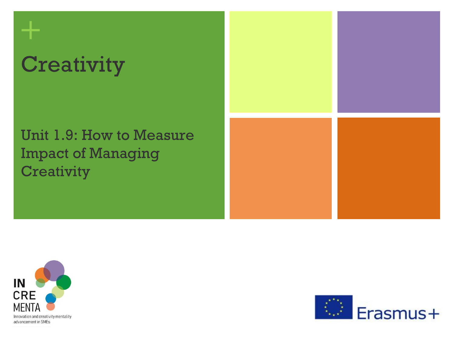## **Creativity**

**+**

### Unit 1.9: How to Measure Impact of Managing **Creativity**





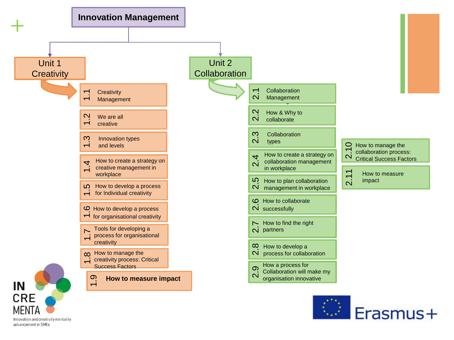

Innovation and creativity mentality advancement in SMEs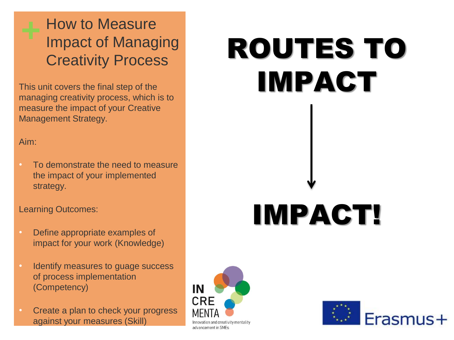How to Measure Impact of Managing Creativity Process

This unit covers the final step of the managing creativity process, which is to measure the impact of your Creative Management Strategy.

Aim:

• To demonstrate the need to measure the impact of your implemented strategy.

#### Learning Outcomes:

- Define appropriate examples of impact for your work (Knowledge)
- Identify measures to quage success of process implementation (Competency)
- Create a plan to check your progress against your measures (Skill)

# ROUTES TO IMPACT

## IMPACT!



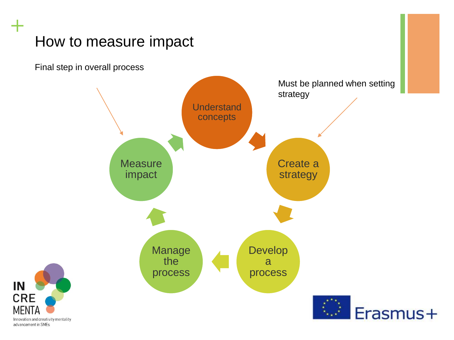Final step in overall process



Innovation and creativity mentality advancement in SMEs

IN

**CRE** 

**MFNT**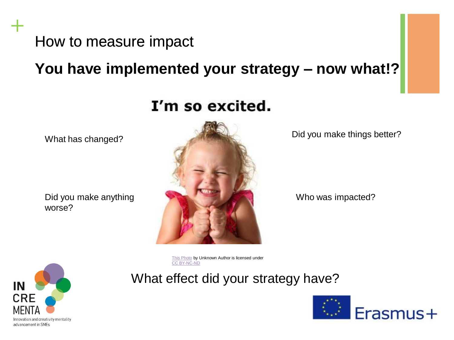**You have implemented your strategy – now what!?**

## I'm so excited.

What has changed?

Did you make anything worse?



Did you make things better?

Who was impacted?

[This Photo](http://morethanturquoise.com/2013/09/25/i-want-to-put-on-my-my-my-my-my-boogie-shoes/) by Unknown Author is licensed under [CC BY-NC-ND](https://creativecommons.org/licenses/by-nc-nd/3.0/)

What effect did your strategy have?



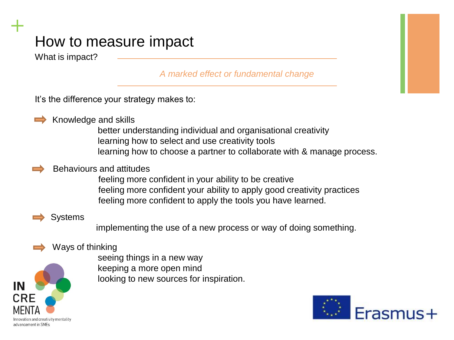What is impact?

*A marked effect or fundamental change*

It's the difference your strategy makes to:



**+**

Knowledge and skills

better understanding individual and organisational creativity learning how to select and use creativity tools learning how to choose a partner to collaborate with & manage process.

#### Behaviours and attitudes

feeling more confident in your ability to be creative feeling more confident your ability to apply good creativity practices feeling more confident to apply the tools you have learned.

#### Systems

implementing the use of a new process or way of doing something.

#### Ways of thinking



seeing things in a new way keeping a more open mind looking to new sources for inspiration.

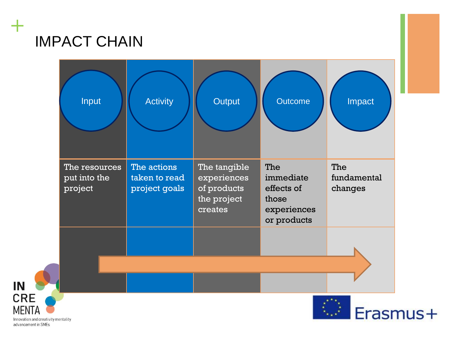## IMPACT CHAIN

**+**



Innovation and creativity mentality advancement in SMFs

IN

**CRE MENTA**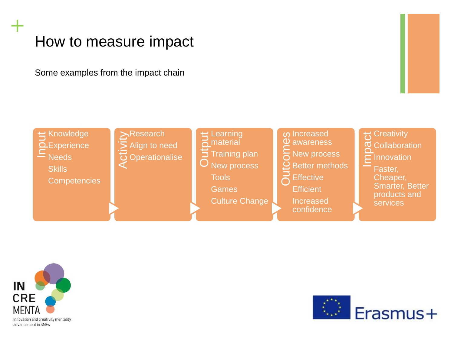Some examples from the impact chain





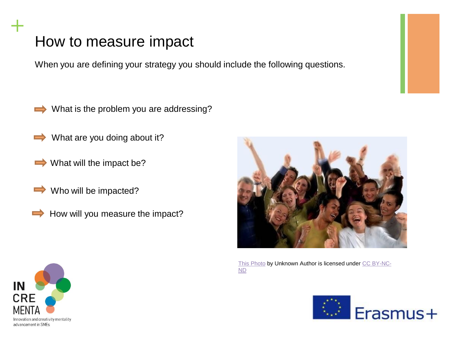When you are defining your strategy you should include the following questions.

- What is the problem you are addressing?
- What are you doing about it?  $\Rightarrow$
- $\rightarrow$  What will the impact be?
- $\Rightarrow$ Who will be impacted?
	- How will you measure the impact?



[This Photo](http://feetoftheshepherd.blogspot.com/2010/09/happy-people-need-jesus-too.html) [by Unknown Author is licensed under CC BY-NC-](https://creativecommons.org/licenses/by-nc-nd/3.0/)ND



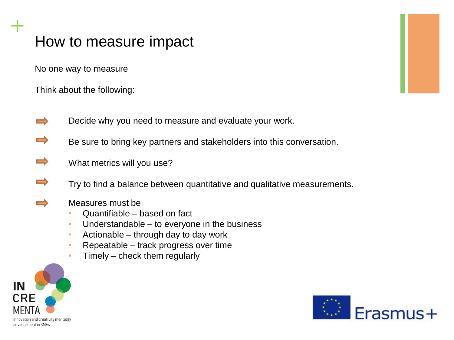No one way to measure

Think about the following:

- Decide why you need to measure and evaluate your work.
- Be sure to bring key partners and stakeholders into this conversation.
- $\equiv$ What metrics will you use?
- Try to find a balance between quantitative and qualitative measurements.
- 

- Measures must be
- Quantifiable based on fact
- Understandable to everyone in the business
- Actionable through day to day work
- Repeatable track progress over time
- Timely check them regularly



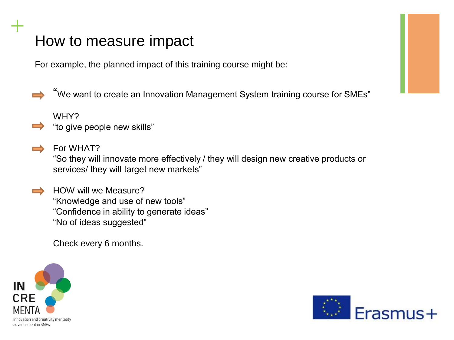For example, the planned impact of this training course might be:

"We want to create an Innovation Management System training course for SMEs"

WHY?

**+**

- "to give people new skills"
- For WHAT? "So they will innovate more effectively / they will design new creative products or services/ they will target new markets"

HOW will we Measure? "Knowledge and use of new tools" "Confidence in ability to generate ideas" "No of ideas suggested"

Check every 6 months.



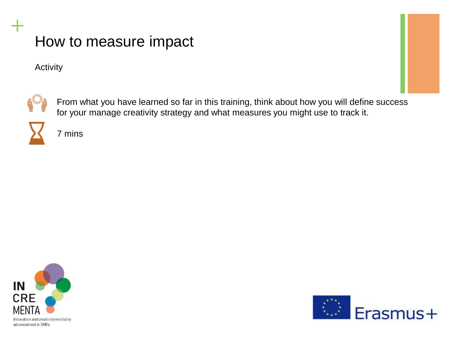Activity



**+**

From what you have learned so far in this training, think about how you will define success for your manage creativity strategy and what measures you might use to track it.



7 mins



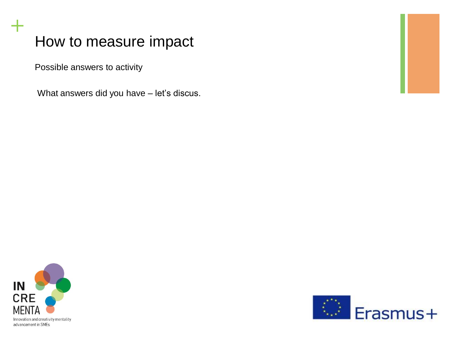Possible answers to activity

What answers did you have – let's discus.



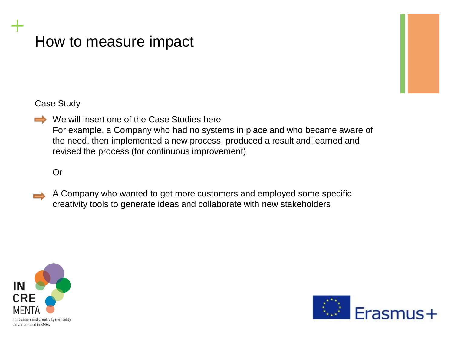#### Case Study

**+**

We will insert one of the Case Studies here For example, a Company who had no systems in place and who became aware of the need, then implemented a new process, produced a result and learned and revised the process (for continuous improvement)

#### Or

A Company who wanted to get more customers and employed some specific creativity tools to generate ideas and collaborate with new stakeholders